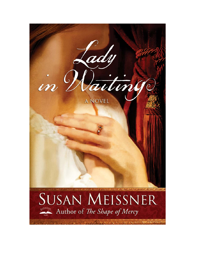

# **SUSAN MEISSNER** Author of The Shape of Mercy

アナイチ シーリメート アイランドション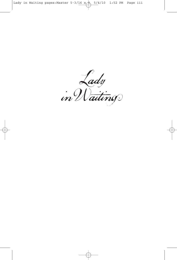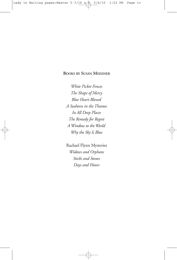### **BOOKS BY SUSAN MEISSNER**

*White Picket Fences The Shape of Mercy Blue Heart Blessed A Seahorse in the Thames In All Deep Places The Remedy for Regret A Window to the World Why the Sky Is Blue*

Rachael Flynn Mysteries *Widows and Orphans Sticks and Stones Days and Hours*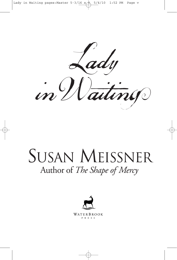

## SUSAN MEISSNER Author of *The Shape of Mercy*

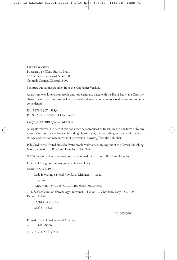LADY IN WAITING PUBLISHED BY WATERBROOK PRESS 12265 Oracle Boulevard, Suite 200 Colorado Springs, Colorado 80921

Scripture quotations are taken from the King James Version.

Apart from well-known real people and real events associated with the life of Lady Jane Grey, the characters and events in this book are fictional and any resemblance to actual persons or events is coincidental.

ISBN 978-0-307-45883-4 ISBN 978-0-307-45884-1 (electronic)

Copyright © 2010 by Susan Meissner

All rights reserved. No part of this book may be reproduced or transmitted in any form or by any means, electronic or mechanical, including photocopying and recording, or by any information storage and retrieval system, without permission in writing from the publisher.

Published in the United States by WaterBrook Multnomah, an imprint of the Crown Publishing Group, a division of Random House Inc., New York.

WATERBROOK and its deer colophon are registered trademarks of Random House Inc.

Library of Congress Cataloging-in-Publication Data

Meissner, Susan, 1961–

Lady in waiting : a novel / by Susan Meissner. — 1st ed.

p. cm.

ISBN 978-0-307-45883-4 — ISBN 978-0-307-45884-1

1. Self-actualization (Psychology) in women—Fiction. 2. Grey, Jane, Lady, 1537–1554— Fiction. I. Title.

PS3613.E435L33 2010

813'.6—dc22

2010009570

Printed in the United States of America 2010—First Edition

10 9 8 7 6 5 4 3 2 1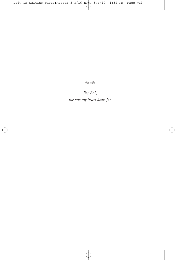业泰

*For Bob, the one my heart beats for.*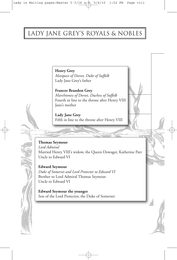### Lady Jane Grey's Royals & Nobles

**Henry Grey** *Marquess of Dorset, Duke of Suffolk* Lady Jane Grey's father

**Frances Brandon Grey** *Marchioness of Dorset, Duchess of Suffolk* Fourth in line to the throne after Henry VIII Jane's mother

**Lady Jane Grey** Fifth in line to the throne after Henry VIII

**Thomas Seymour** *Lord Admiral* Married Henry VIII's widow, the Queen Dowager, Katherine Parr Uncle to Edward VI

**Edward Seymour** *Duke of Somerset and Lord Protector to Edward VI* Brother to Lord Admiral Thomas Seymour Uncle to Edward VI

**Edward Seymour the younger** Son of the Lord Protector, the Duke of Somerset

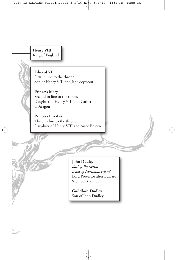

#### **Edward VI**

First in line to the throne Son of Henry VIII and Jane Seymour

**Princess Mary** Second in line to the throne Daughter of Henry VIII and Catherine of Aragon

**Princess Elizabeth** Third in line to the throne Daughter of Henry VIII and Anne Boleyn

> **John Dudley** *Earl of Warwick, Duke of Northumberland* Lord Protector after Edward Seymour the elder

**Guildford Dudley** Son of John Dudley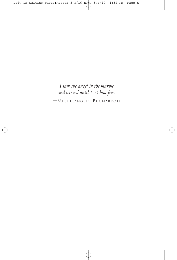*I saw the angel in the marble and carved until I set him free.*

—MICHELANGELO BUONARROTI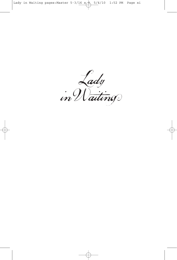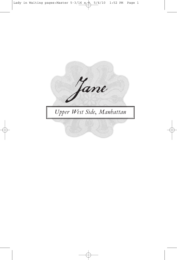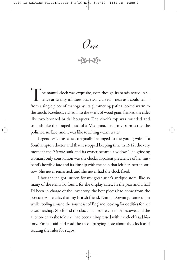$\mathcal O$ ne

The mantel clock was exquisite, even though its hands rested in silence at twenty minutes past two. Carved—near as I could tell from a single piece of mahogany, its glimmering patina looked warm to the touch. Rosebuds etched into the swirls of wood grain flanked the sides like two bronzed bridal bouquets. The clock's top was rounded and smooth like the draped head of a Madonna. I ran my palm across the polished surface, and it was like touching warm water.

Legend was this clock originally belonged to the young wife of a Southampton doctor and that it stopped keeping time in 1912, the very moment the *Titanic* sank and its owner became a widow. The grieving woman's only consolation was the clock's apparent prescience of her husband's horrible fate and its kinship with the pain that left her inert in sorrow. She never remarried, and she never had the clock fixed.

I bought it sight unseen for my great aunt's antique store, like so many of the items I'd found for the display cases. In the year and a half I'd been in charge of the inventory, the best pieces had come from the obscure estate sales that my British friend, Emma Downing, came upon while tooling around the southeast of England looking for oddities for her costume shop. She found the clock at an estate sale in Felixstowe, and the auctioneer, so she told me, had been unimpressed with the clock's sad history. Emma said he'd read the accompanying note about the clock as if reading the rules for rugby.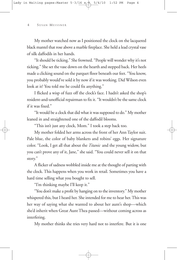My mother watched now as I positioned the clock on the lacquered black mantel that rose above a marble fireplace. She held a lead crystal vase of silk daffodils in her hands.

"It should be ticking." She frowned. "People will wonder why it's not ticking." She set the vase down on the hearth and stepped back. Her heels made a clicking sound on the parquet floor beneath our feet. "You know, you probably would've sold it by now if it was working. Did Wilson even look at it? You told me he could fix anything."

I flicked a wisp of fuzz off the clock's face. I hadn't asked the shop's resident-and-unofficial repairman to fix it. "It wouldn't be the same clock if it was fixed."

"It would be a clock that did what it was supposed to do." My mother leaned in and straightened one of the daffodil blooms.

"This isn't just any clock, Mom." I took a step back too.

My mother folded her arms across the front of her Ann Taylor suit. Pale blue, the color of baby blankets and robins' eggs. Her signature color. "Look, I get all that about the *Titanic* and the young widow, but you can't prove any of it, Jane," she said. "You could never sell it on that story."

A flicker of sadness wobbled inside me at the thought of parting with the clock. This happens when you work in retail. Sometimes you have a hard time selling what you bought to sell.

"I'm thinking maybe I'll keep it."

"You don't make a profit by hanging on to the inventory." My mother whispered this, but I heard her. She intended for me to hear her. This was her way of saying what she wanted to about her aunt's shop—which she'd inherit when Great Aunt Thea passed—without coming across as interfering.

My mother thinks she tries very hard not to interfere. But it is one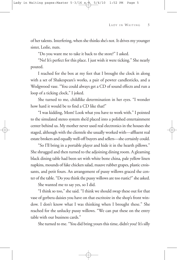of her talents. Interfering, when she thinks she's not. It drives my younger sister, Leslie, nuts.

"Do you want me to take it back to the store?" I asked.

"No! It's perfect for this place. I just wish it were ticking." She nearly pouted.

I reached for the box at my feet that I brought the clock in along with a set of Shakespeare's works, a pair of pewter candlesticks, and a Wedgwood vase. "You could always get a CD of sound effects and run a loop of a ticking clock," I joked.

She turned to me, childlike determination in her eyes. "I wonder how hard it would be to find a CD like that!"

"I was kidding, Mom! Look what you have to work with." I pointed to the simulated stereo system she'd placed into a polished entertainment center behind us. My mother never used real electronics in the houses she staged, although with the clientele she usually worked with—affluent real estate brokers and equally well-off buyers and sellers—she certainly could.

"So I'll bring in a portable player and hide it in the hearth pillows." She shrugged and then turned to the adjoining dining room. A gleaming black dining table had been set with white bone china, pale yellow linen napkins, mounds of fake chicken salad, mauve rubber grapes, plastic croissants, and petit fours. An arrangement of pussy willows graced the center of the table. "Do you think the pussy willows are too rustic?" she asked.

She wanted me to say yes, so I did.

"I think so too," she said. "I think we should swap these out for that vase of gerbera daisies you have on that escritoire in the shop's front window. I don't know what I was thinking when I brought these." She reached for the unlucky pussy willows. "We can put these on the entry table with our business cards."

She turned to me. "You did bring yours this time, didn't you? It's silly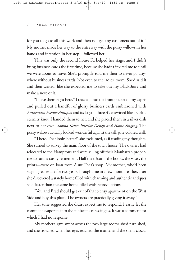for you to go to all this work and then not get any customers out of it." My mother made her way to the entryway with the pussy willows in her hands and intention in her step. I followed her.

This was only the second house I'd helped her stage, and I didn't bring business cards the first time, because she hadn't invited me to until we were about to leave. She'd promptly told me then to never go anywhere without business cards. Not even to the ladies' room. She'd said it and then waited, like she expected me to take out my BlackBerry and make a note of it.

"I have them right here." I reached into the front pocket of my capris and pulled out a handful of glossy business cards emblazoned with *Amsterdam Avenue Antiques* and its logo—three *A'*s entwined like a Celtic eternity knot. I handed them to her, and she placed them in a silver dish next to her own. *Sophia Keller Interior Design and Home Staging.* The pussy willows actually looked wonderful against the tall, jute-colored wall.

"There. That looks better!" she exclaimed, as if reading my thoughts. She turned to survey the main floor of the town house. The owners had relocated to the Hamptons and were selling off their Manhattan properties to fund a cushy retirement. Half the décor—the books, the vases, the prints—were on loan from Aunt Thea's shop. My mother, who'd been staging real estate for two years, brought me in a few months earlier, after she discovered a stately home filled with charming and authentic antiques sold faster than the same home filled with reproductions.

"You and Brad should get out of that teensy apartment on the West Side and buy this place. The owners are practically giving it away."

Her tone suggested she didn't expect me to respond. I easily let the comment evaporate into the sunbeams caressing us. It was a comment for which I had no response.

My mother's gaze swept across the two large rooms she'd furnished, and she frowned when her eyes reached the mantel and the silent clock.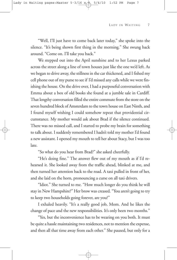"Well, I'll just have to come back later today," she spoke into the silence. "It's being shown first thing in the morning." She swung back around. "Come on. I'll take you back."

We stepped out into the April sunshine and to her Lexus parked across the street along a line of town houses just like the one we'd left. As we began to drive away, the stillness in the car thickened, and I fished my cell phone out of my purse to see if I'd missed any calls while we were finishing the house. On the drive over, I had a purposeful conversation with Emma about a box of old books she found at a jumble sale in Cardiff. That lengthy conversation filled the entire commute from the store on the seven hundred block of Amsterdam to the town house on East Ninth, and I found myself wishing I could somehow repeat that providential circumstance. My mother would ask about Brad if the silence continued. There was no missed call, and I started to probe my brain for something to talk about. I suddenly remembered I hadn't told my mother I'd found a new assistant. I opened my mouth to tell her about Stacy, but I was too late.

"So what do you hear from Brad?" she asked cheerfully.

"He's doing fine." The answer flew out of my mouth as if I'd rehearsed it. She looked away from the traffic ahead, blinked at me, and then turned her attention back to the road. A taxi pulled in front of her, and she laid on the horn, pronouncing a curse on all taxi drivers.

"Idiot." She turned to me. "How much longer do you think he will stay in New Hampshire?" Her brow was creased. "You aren't going to try to keep two households going forever, are you?"

I exhaled heavily. "It's a really good job, Mom. And he likes the change of pace and the new responsibilities. It's only been two months."

"Yes, but the inconvenience has to be wearing on you both. It must be quite a hassle maintaining two residences, not to mention the expense, and then all that time away from each other." She paused, but only for a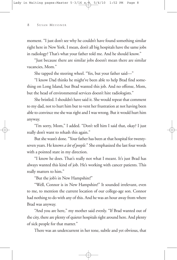moment. "I just don't see why he couldn't have found something similar right here in New York. I mean, don't all big hospitals have the same jobs in radiology? That's what your father told me. And he should know."

"Just because there are similar jobs doesn't mean there are similar vacancies, Mom."

She tapped the steering wheel. "Yes, but your father said—"

"I know Dad thinks he might've been able to help Brad find something on Long Island, but Brad wanted this job. And no offense, Mom, but the head of environmental services doesn't hire radiologists."

She bristled. I shouldn't have said it. She would repeat that comment to my dad, not to hurt him but to vent her frustration at not having been able to convince me she was right and I was wrong. But it would hurt him anyway.

"I'm sorry, Mom," I added. "Don't tell him I said that, okay? I just really don't want to rehash this again."

But she wasn't done. "Your father has been at that hospital for twentyseven years. He knows *a lot of people.*" She emphasized the last four words with a pointed stare in my direction.

"I know he does. That's really not what I meant. It's just Brad has always wanted this kind of job. He's working with cancer patients. This really matters to him."

"But the job's in New Hampshire!"

"Well, Connor is in New Hampshire!" It sounded irrelevant, even to me, to mention the current location of our college-age son. Connor had nothing to do with any of this. And he was an hour away from where Brad was anyway.

"And you are here," my mother said evenly. "If Brad wanted out of the city, there are plenty of quieter hospitals right around here. And plenty of sick people for that matter."

There was an undercurrent in her tone, subtle and yet obvious, that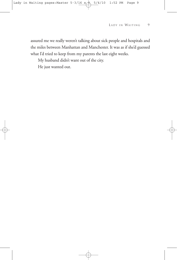assured me we really weren't talking about sick people and hospitals and the miles between Manhattan and Manchester. It was as if she'd guessed what I'd tried to keep from my parents the last eight weeks.

My husband didn't want out of the city.

He just wanted out.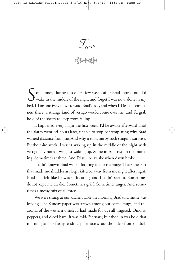Two

Sometimes, during those first few weeks after Brad moved out, I'd wake in the middle of the night and forget I was now alone in my bed. I'd instinctively move toward Brad's side, and when I'd feel the emptiness there, a strange kind of vertigo would come over me, and I'd grab hold of the sheets to keep from falling.

It happened every night the first week. I'd lie awake afterward until the alarm went off hours later, unable to stop contemplating why Brad wanted distance from me. And why it took me by such stinging surprise. By the third week, I wasn't waking up in the middle of the night with vertigo anymore; I was just waking up. Sometimes at two in the morning. Sometimes at three. And I'd still be awake when dawn broke.

I hadn't known Brad was suffocating in our marriage. That's the part that made me shudder as sleep skittered away from me night after night. Brad had felt like he was suffocating, and I hadn't seen it. Sometimes doubt kept me awake. Sometimes grief. Sometimes anger. And sometimes a messy mix of all three.

We were sitting at our kitchen table the morning Brad told me he was leaving. The Sunday paper was strewn among our coffee mugs, and the aroma of the western omelet I had made for us still lingered. Onions, peppers, and diced ham. It was mid-February, but the sun was bold that morning, and its flashy tendrils spilled across our shoulders from our bal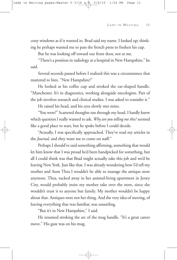cony windows as if it wanted in. Brad said my name. I looked up; thinking he perhaps wanted me to pass the french press to freshen his cup.

But he was looking off toward our front door, not at me.

"There's a position in radiology at a hospital in New Hampshire," he said.

Several seconds passed before I realized this was a circumstance that mattered to him. "New Hampshire?"

He looked at his coffee cup and stroked the ear-shaped handle. "Manchester. It's in diagnostics, working alongside oncologists. Part of the job involves research and clinical studies. I was asked to consider it."

He raised his head, and his eyes slowly met mine.

"You were?" Scattered thoughts ran through my head. I hardly knew which question I really wanted to ask. *Why are you telling me this?* seemed like a good place to start, but he spoke before I could decide.

"Actually, I was specifically approached. They've read my articles in the *Journal,* and they want me to come on staff."

Perhaps I should've said something affirming, something that would let him know that I was proud he'd been handpicked for something, but all I could think was that Brad might actually take this job and we'd be leaving New York. Just like that. I was already wondering how I'd tell my mother and Aunt Thea I wouldn't be able to manage the antique store anymore. Thea, tucked away in her assisted-living apartment in Jersey City, would probably insist my mother take over the store, since she wouldn't trust it to anyone but family. My mother wouldn't be happy about that. Antiques were not her thing. And the very idea of moving, of leaving everything that was familiar, was unsettling.

"But it's in New Hampshire," I said.

He resumed stroking the arc of the mug handle. "It's a great career move." His gaze was on his mug.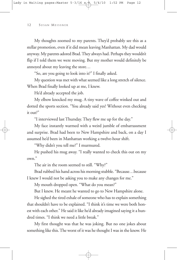My thoughts zoomed to my parents. They'd probably see this as a stellar promotion, even if it did mean leaving Manhattan. My dad would anyway. My parents adored Brad. They always had. Perhaps they wouldn't flip if I told them we were moving. But my mother would definitely be annoyed about my leaving the store…

"So, are you going to look into it?" I finally asked.

My question was met with what seemed like a long stretch of silence. When Brad finally looked up at me, I knew.

He'd already accepted the job.

My elbow knocked my mug. A tiny wave of coffee winked out and dotted the sports section. "You already said yes? Without even checking it out?"

"I interviewed last Thursday. They flew me up for the day."

My face instantly warmed with a weird jumble of embarrassment and surprise. Brad had been to New Hampshire and back, on a day I assumed he'd been in Manhattan working a twelve-hour shift.

"Why didn't you tell me?" I murmured.

He pushed his mug away. "I really wanted to check this out on my own."

The air in the room seemed to still. "Why?"

Brad rubbed his hand across his morning stubble. "Because…because I knew I would not be asking you to make any changes for me."

My mouth dropped open. "What do you mean?"

But I knew. He meant he wanted to go to New Hampshire alone.

He sighed the tired exhale of someone who has to explain something that shouldn't have to be explained. "I think it's time we were both honest with each other." He said it like he'd already imagined saying it a hundred times. "I think we need a little break."

My first thought was that he was joking. But no one jokes about something like this. The worst of it was he thought I was in the know. He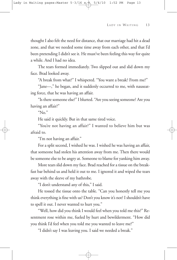thought I also felt the need for distance, that our marriage had hit a dead zone, and that we needed some time away from each other, and that I'd been pretending I didn't see it. He must've been feeling this way for quite a while. And I had no idea.

The tears formed immediately. Two slipped out and slid down my face. Brad looked away.

"A break from what?" I whispered. "You want a break? From me?"

"Jane—," he began, and it suddenly occurred to me, with nauseating force, that he was having an affair.

"Is there someone else?" I blurted. "Are you seeing someone? Are you having an affair?"

" $No.$ "

He said it quickly. But in that same tired voice.

"You're not having an affair?" I wanted to believe him but was afraid to.

"I'm not having an affair."

For a split second, I wished he was. I wished he was having an affair, that someone had stolen his attention away from me. Then there would be someone else to be angry at. Someone to blame for yanking him away.

More tears slid down my face. Brad reached for a tissue on the breakfast bar behind us and held it out to me. I ignored it and wiped the tears away with the sleeve of my bathrobe.

"I don't understand any of this," I said.

He tossed the tissue onto the table. "Can you honestly tell me you think everything is fine with us? Don't you know it's not? I shouldn't have to spell it out. I never wanted to hurt you."

"Well, how did you think I would feel when you told me this?" Resentment rose within me, fueled by hurt and bewilderment. "How did you think I'd feel when you told me you wanted to leave me?"

"I didn't say I was leaving you. I said we needed a break."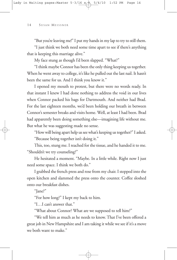"But you're leaving me!" I put my hands in my lap to try to still them.

"I just think we both need some time apart to see if there's anything that is keeping this marriage alive."

My face stung as though I'd been slapped. "What?"

"I think maybe Connor has been the only thing keeping us together. When he went away to college, it's like he pulled out the last nail. It hasn't been the same for us. And I think you know it."

I opened my mouth to protest, but there were no words ready. In that instant I knew I had done nothing to address the void in our lives when Connor packed his bags for Dartmouth. And neither had Brad. For the last eighteen months, we'd been holding our breath in between Connor's semester breaks and visits home. Well, at least I had been. Brad had apparently been doing something else—imagining life without me. But what he was suggesting made no sense.

"How will being apart help us see what's keeping us together?" I asked. "Because being together isn't doing it."

This, too, stung me. I reached for the tissue, and he handed it to me. "Shouldn't we try counseling?"

He hesitated a moment. "Maybe. In a little while. Right now I just need some space. I think we both do."

I grabbed the french press and rose from my chair. I stepped into the open kitchen and slammed the press onto the counter. Coffee sloshed onto our breakfast dishes.

"Jane?"

"For how long?" I kept my back to him.

"I…I can't answer that."

"What about Connor? What are we supposed to tell him?"

"We tell him as much as he needs to know. That I've been offered a great job in New Hampshire and I am taking it while we see if it's a move we both want to make."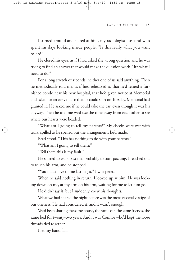I turned around and stared at him, my radiologist husband who spent his days looking inside people. "Is this really what you want to do?"

He closed his eyes, as if I had asked the wrong question and he was trying to find an answer that would make the question work. "It's what I need to do."

For a long stretch of seconds, neither one of us said anything. Then he methodically told me, as if he'd rehearsed it, that he'd rented a furnished condo near his new hospital, that he'd given notice at Memorial and asked for an early out so that he could start on Tuesday. Memorial had granted it. He asked me if he could take the car, even though it was his anyway. Then he told me we'd use the time away from each other to see where our hearts were headed.

"What am I going to tell my parents?" My cheeks were wet with tears, spilled as he spelled out the arrangements he'd made.

Brad stood. "This has nothing to do with your parents."

"What am I going to tell them?"

"Tell them this is my fault."

He started to walk past me, probably to start packing. I reached out to touch his arm, and he stopped.

"You made love to me last night," I whispered.

When he said nothing in return, I looked up at him. He was looking down on me, at my arm on his arm, waiting for me to let him go.

He didn't say it, but I suddenly knew his thoughts.

What we had shared the night before was the most visceral vestige of our oneness. He had considered it, and it wasn't enough.

We'd been sharing the same house, the same car, the same friends, the same bed for twenty-two years. And it was Connor who'd kept the loose threads tied together.

I let my hand fall.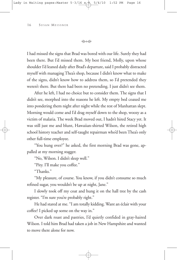$\frac{1}{2}$ 

I had missed the signs that Brad was bored with our life. Surely they had been there. But I'd missed them. My best friend, Molly, upon whose shoulder I'd leaned daily after Brad's departure, said I probably distracted myself with managing Thea's shop, because I didn't know what to make of the signs, didn't know how to address them, so I'd pretended they weren't there. But there had been no pretending. I just didn't see them.

After he left, I had no choice but to consider them. The signs that I didn't see, morphed into the reasons he left. My empty bed coaxed me into pondering them night after night while the rest of Manhattan slept. Morning would come and I'd drag myself down to the shop, woozy as a victim of malaria. The week Brad moved out, I hadn't hired Stacy yet. It was still just me and blunt, Hawaiian-shirted Wilson, the retired high school history teacher and self-taught repairman who'd been Thea's only other full-time employee.

"You hung over?" he asked, the first morning Brad was gone, appalled at my morning stagger.

"No, Wilson. I didn't sleep well."

"Pity. I'll make you coffee."

"Thanks."

"My pleasure, of course. You know, if you didn't consume so much refined sugar, you wouldn't be up at night, Jane."

I slowly took off my coat and hung it on the hall tree by the cash register. "I'm sure you're probably right."

He had stared at me. "I am totally kidding. Want an éclair with your coffee? I picked up some on the way in."

Over dark roast and pastries, I'd quietly confided in gray-haired Wilson. I told him Brad had taken a job in New Hampshire and wanted to move there alone for now.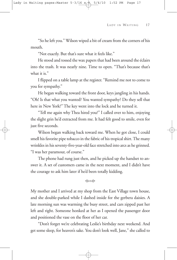"So he left you." Wilson wiped a bit of cream from the corners of his mouth.

"Not exactly. But that's sure what it feels like."

He stood and tossed the wax papers that had been around the éclairs into the trash. It was nearly nine. Time to open. "That's because that's what it is."

I flipped on a table lamp at the register. "Remind me not to come to you for sympathy."

He began walking toward the front door, keys jangling in his hands. "Oh! Is that what you wanted? You wanted sympathy? Do they sell that here in New York?" The key went into the lock and he turned it.

"Tell me again why Thea hired you?" I called over to him, enjoying the slight grin he'd extracted from me. It had felt good to smile, even for just five seconds.

Wilson began walking back toward me. When he got close, I could smell his favorite pipe tobacco in the fabric of his tropical shirt. The many wrinkles in his seventy-five-year-old face stretched into arcs as he grinned. "I was her paramour, of course."

The phone had rung just then, and he picked up the handset to answer it. A set of customers came in the next moment, and I didn't have the courage to ask him later if he'd been totally kidding.

 $\begin{picture}(120,10) \put(0,0){\line(1,0){10}} \put(15,0){\line(1,0){10}} \put(15,0){\line(1,0){10}} \put(15,0){\line(1,0){10}} \put(15,0){\line(1,0){10}} \put(15,0){\line(1,0){10}} \put(15,0){\line(1,0){10}} \put(15,0){\line(1,0){10}} \put(15,0){\line(1,0){10}} \put(15,0){\line(1,0){10}} \put(15,0){\line(1,0){10}} \put(15,0){\line($ 

My mother and I arrived at my shop from the East Village town house, and she double-parked while I dashed inside for the gerbera daisies. A late morning sun was warming the busy street, and cars zipped past her left and right. Someone honked at her as I opened the passenger door and positioned the vase on the floor of her car.

"Don't forget we're celebrating Leslie's birthday next weekend. And get some sleep, for heaven's sake. You don't look well, Jane," she called to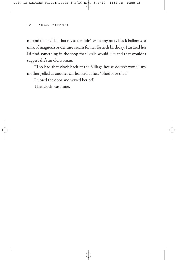me and then added that my sister didn't want any nasty black balloons or milk of magnesia or denture cream for her fortieth birthday. I assured her I'd find something in the shop that Leslie would like and that wouldn't suggest she's an old woman.

"Too bad that clock back at the Village house doesn't work!" my mother yelled as another car honked at her. "She'd love that."

I closed the door and waved her off.

That clock was mine.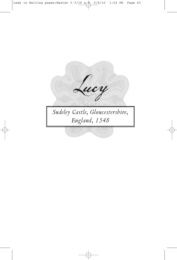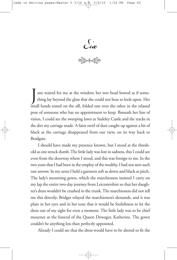Six

I ane waited for me at the window, her wee head bowed as if some-<br>thing lay beyond the glass that she could not bear to look upon. Her small hands rested on the sill, folded one over the other in the relaxed pose of someone who has no appointment to keep. Beneath her line of vision, I could see the sweeping lawn at Sudeley Castle and the tracks in the dirt my carriage made. A faint swirl of dust caught up against a bit of black as the carriage disappeared from our view, on its way back to Bradgate.

I should have made my presence known, but I stood at the threshold as one struck dumb. The little lady was lost in sadness, this I could see even from the doorway where I stood, and this was foreign to me. In the two years that I had been in the employ of the wealthy, I had not seen such raw sorrow. In my arms I held a garment soft as down and black as pitch. The lady's mourning gown, which the marchioness insisted I carry on my lap the entire two-day journey from Leicestershire so that her daughter's dress wouldn't be crushed in the trunk. The marchioness did not tell me this directly; Bridget relayed the marchioness's demands, and it was plain in her eyes and in her tone that it would be foolishness to let the dress out of my sight for even a moment. The little lady was to be chief mourner at the funeral of the Queen Dowager, Katherine. The gown couldn't be anything less than perfectly appointed.

Already I could see that the dress would have to be altered to fit the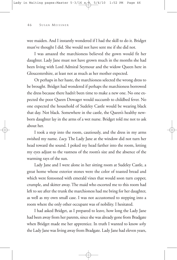wee maiden. And I instantly wondered if I had the skill to do it. Bridget must've thought I did. She would not have sent me if she did not.

I was amazed the marchioness believed the gown would fit her daughter. Lady Jane must not have grown much in the months she had been living with Lord Admiral Seymour and the widow Queen here in Gloucestershire, at least not as much as her mother expected.

Or perhaps in her haste, the marchioness selected the wrong dress to be brought. Bridget had wondered if perhaps the marchioness borrowed the dress because there hadn't been time to make a new one. No one expected the poor Queen Dowager would succumb to childbed fever. No one expected the household of Sudeley Castle would be wearing black that day. Not black. Somewhere in the castle, the Queen's healthy newborn daughter lay in the arms of a wet nurse. Bridget told me not to ask about her.

I took a step into the room, cautiously, and the dress in my arms swished my name. *Lucy.* The Lady Jane at the window did not turn her head toward the sound. I poked my head farther into the room, letting my eyes adjust to the vastness of the room's size and the absence of the warming rays of the sun.

Lady Jane and I were alone in her sitting room at Sudeley Castle, a great home whose exterior stones were the color of toasted bread and which were festooned with emerald vines that would soon turn copper, crumple, and skitter away. The maid who escorted me to this room had left to see after the trunk the marchioness had me bring for her daughter, as well as my own small case. I was not accustomed to stepping into a room where the only other occupant was of nobility. I hesitated.

I had asked Bridget, as I prepared to leave, how long the Lady Jane had been away from her parents, since she was already gone from Bradgate when Bridget made me her apprentice. In truth I wanted to know *why* the Lady Jane was living away from Bradgate. Lady Jane had eleven years,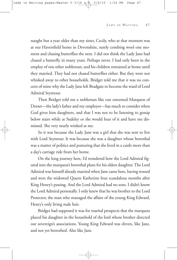naught but a year older than my sister, Cecily, who at that moment was at our Haversfield home in Devonshire, surely combing wool one moment and chasing butterflies the next. I did not think the Lady Jane had chased a butterfly in many years. Perhaps never. I had only been in the employ of one other nobleman, and his children remained at home until they married. They had not chased butterflies either. But they were not whisked away to other households. Bridget told me that it was no concern of mine why the Lady Jane left Bradgate to become the ward of Lord Admiral Seymour.

Then Bridget told me a nobleman like our esteemed Marquess of Dorset—the lady's father and my employer—has much to consider when God gives him daughters, and that I was not to be listening to gossip below stairs while at Sudeley or she would hear of it and have me dismissed. She very nearly winked at me.

So it was because the Lady Jane was a girl that she was sent to live with Lord Seymour. It was because she was a daughter whose betrothal was a matter of politics and posturing that she lived in a castle more than a day's carriage ride from her home.

On the long journey here, I'd wondered how the Lord Admiral figured into the marquess's betrothal plans for his eldest daughter. The Lord Admiral was himself already married when Jane came here, having wooed and won the widowed Queen Katherine four scandalous months after King Henry's passing. And the Lord Admiral had no sons. I didn't know the Lord Admiral personally. I only knew that he was brother to the Lord Protector, the man who managed the affairs of the young King Edward, Henry's only living male heir.

Bridget had supposed it was for marital prospects that the marquess placed his daughter in the household of the lord whose brother directed our sovereign's associations. Young King Edward was eleven, like Jane, and not yet betrothed. Also like Jane.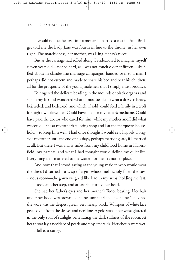It would not be the first time a monarch married a cousin. And Bridget told me the Lady Jane was fourth in line to the throne, in her own right. The marchioness, her mother, was King Henry's niece.

But as the carriage had rolled along, I endeavored to imagine myself eleven years old—not so hard, as I was not much older at fifteen—shuffled about in clandestine marriage campaigns, handed over to a man I perhaps did not esteem and made to share his bed and bear his children, all for the prosperity of the young male heir that I simply must produce.

I'd fingered the delicate beading in the mounds of black organza and silk in my lap and wondered what it must be like to wear a dress so heavy, bejeweled, and bedecked, and which, if sold, could feed a family in a croft for nigh a whole winter. Could have paid for my father's medicine. Could have paid the doctor who cared for him, while my mother and I did what we could—she at my father's tailoring shop and I at the marquess's household—to keep him well. I had once thought I would sew happily alongside my father until the end of his days, perhaps marrying late, if I married at all. But there I was, many miles from my childhood home in Haversfield, my parents, and what I had thought would define my quiet life. Everything that mattered to me waited for me in another place.

And now that I stood gazing at the young maiden who would wear the dress I'd carried—a wisp of a girl whose melancholy filled the cavernous room—the gown weighed like lead in my arms, holding me fast.

I took another step, and at last she turned her head.

She had her father's eyes and her mother's Tudor bearing. Her hair under her hood was brown like mine, unremarkable like mine. The dress she wore was the deepest green, very nearly black. Whispers of white lace peeked out from the sleeves and neckline. A gold sash at her waist glittered in the only spill of sunlight penetrating the dark stillness of the room. At her throat lay a necklace of pearls and tiny emeralds. Her cheeks were wet.

I fell to a curtsy.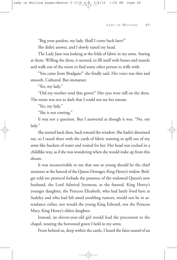"Beg your pardon, my lady. Shall I come back later?"

She didn't answer, and I slowly raised my head.

The Lady Jane was looking at the folds of fabric in my arms. Staring at them. Willing the dress, it seemed, to fill itself with bones and muscle and walk out of the room to find some other person to trifle with.

"You came from Bradgate?" she finally said. Her voice was thin and smooth. Cultured. But immature.

"Yes, my lady."

"Did my mother send that gown?" Her eyes were still on the dress. The room was not so dark that I could not see her unease.

"Yes, my lady."

"She is not coming."

It was not a question. But I answered as though it was. "No, my lady."

She turned back then, back toward the window. She hadn't dismissed me, so I stood there with the yards of fabric wanting to spill out of my arms like buckets of water and waited for her. Her head was cocked in a childlike way, as if she was wondering when she would wake up from this dream.

It was inconceivable to me that one so young should be the chief mourner at the funeral of the Queen Dowager, King Henry's widow. Bridget told me protocol forbade the presence of the widowed Queen's new husband, the Lord Admiral Seymour, at the funeral. King Henry's younger daughter, the Princess Elizabeth, who had lately lived here at Sudeley and who had left amid troubling rumors, would not be in attendance either, nor would the young King Edward, nor the Princess Mary, King Henry's eldest daughter.

Instead, an eleven-year-old girl would lead the procession to the chapel, wearing the borrowed gown I held in my arms.

From behind us, deep within the castle, I heard the faint sound of an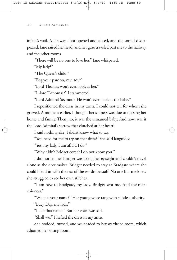infant's wail. A faraway door opened and closed, and the sound disappeared. Jane raised her head, and her gaze traveled past me to the hallway and the other rooms.

"There will be no one to love her," Jane whispered.

"My lady?"

"The Queen's child."

"Beg your pardon, my lady?"

"Lord Thomas won't even look at her."

"L-lord T-thomas?" I stammered.

"Lord Admiral Seymour. He won't even look at the babe."

I repositioned the dress in my arms. I could not tell for whom she grieved. A moment earlier, I thought her sadness was due to missing her home and family. Then, no, it was the unnamed baby. And now, was it the Lord Admiral's sorrow that clutched at her heart?

I said nothing else. I didn't know what to say.

"You need for me to try on that dress?" she said languidly.

"Yes, my lady. I am afraid I do."

"Why didn't Bridget come? I do not know you."

I did not tell her Bridget was losing her eyesight and couldn't travel alone as the dressmaker. Bridget needed to stay at Bradgate where she could blend in with the rest of the wardrobe staff. No one but me knew she struggled to see her own stitches.

"I am new to Bradgate, my lady. Bridget sent me. And the marchioness."

"What is your name?" Her young voice rang with subtle authority.

"Lucy Day, my lady."

"I like that name." But her voice was sad.

"Shall we?" I hefted the dress in my arms.

She nodded, turned, and we headed to her wardrobe room, which adjoined her sitting room.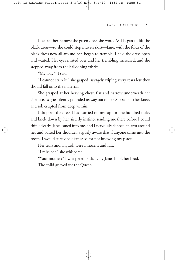I helped her remove the green dress she wore. As I began to lift the black dress—so she could step into its skirt—Jane, with the folds of the black dress now all around her, began to tremble. I held the dress open and waited. Her eyes misted over and her trembling increased, and she stepped away from the ballooning fabric.

"My lady?" I said.

"I cannot stain it!" she gasped, savagely wiping away tears lest they should fall onto the material.

She grasped at her heaving chest, flat and narrow underneath her chemise, as grief silently pounded its way out of her. She sank to her knees as a sob erupted from deep within.

I dropped the dress I had carried on my lap for one hundred miles and knelt down by her, sisterly instinct sending me there before I could think clearly. Jane leaned into me, and I nervously slipped an arm around her and patted her shoulder, vaguely aware that if anyone came into the room, I would surely be dismissed for not knowing my place.

Her tears and anguish were innocent and raw.

"I miss her," she whispered.

"Your mother?" I whispered back. Lady Jane shook her head.

The child grieved for the Queen.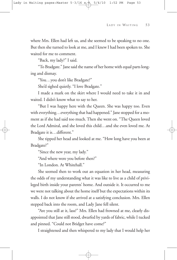where Mrs. Ellen had left us, and she seemed to be speaking to no one. But then she turned to look at me, and I knew I had been spoken to. She waited for me to comment.

"Back, my lady?" I said.

"To Bradgate." Jane said the name of her home with equal parts longing and dismay.

"You…you don't like Bradgate?"

She'd sighed quietly. "I love Bradgate."

I made a mark on the skirt where I would need to take it in and waited. I didn't know what to say to her.

"But I was happy here with the Queen. She was happy too. Even with everything…everything that had happened." Jane stopped for a moment as if she had said too much. Then she went on. "The Queen loved the Lord Admiral, and she loved this child…and she even loved me. At Bradgate it is…different."

She tipped her head and looked at me. "How long have you been at Bradgate?"

"Since the new year, my lady."

"And where were you before then?"

"In London. At Whitehall."

She seemed then to work out an equation in her head, measuring the odds of my understanding what it was like to live as a child of privileged birth inside your parents' home. And outside it. It occurred to me we were not talking about the home itself but the expectations within its walls. I do not know if she arrived at a satisfying conclusion. Mrs. Ellen stepped back into the room, and Lady Jane fell silent.

"Are you still at it, lass?" Mrs. Ellen had frowned at me, clearly disappointed that Jane still stood, dwarfed by yards of fabric, while I tucked and pinned. "Could not Bridget have come?"

I straightened and then whispered to my lady that I would help her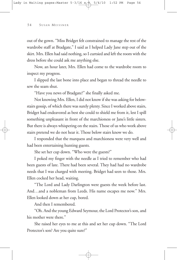out of the gown. "Miss Bridget felt constrained to manage the rest of the wardrobe staff at Bradgate," I said as I helped Lady Jane step out of the skirt. Mrs. Ellen had said nothing, so I curtsied and left the room with the dress before she could ask me anything else.

Now, an hour later, Mrs. Ellen had come to the wardrobe room to inspect my progress.

I slipped the last bone into place and began to thread the needle to sew the seam shut.

"Have you news of Bradgate?" she finally asked me.

Not knowing Mrs. Ellen, I did not know if she was asking for belowstairs gossip, of which there was surely plenty. Since I worked above stairs, Bridget had endeavored as best she could to shield me from it, lest I spill something unpleasant in front of the marchioness or Jane's little sisters. But there is always whispering on the stairs. Those of us who work above stairs pretend we do not hear it. Those below stairs know we do.

I responded that the marquess and marchioness were very well and had been entertaining hunting guests.

She set her cup down. "Who were the guests?"

I poked my finger with the needle as I tried to remember who had been guests of late. There had been several. They had had no wardrobe needs that I was charged with meeting. Bridget had seen to those. Mrs. Ellen cocked her head, waiting.

"The Lord and Lady Darlington were guests the week before last. And…and a nobleman from Leeds. His name escapes me now." Mrs. Ellen looked down at her cup, bored.

And then I remembered.

"Oh. And the young Edward Seymour, the Lord Protector's son, and his mother were there."

She raised her eyes to me at this and set her cup down. "The Lord Protector's son? Are you quite sure?"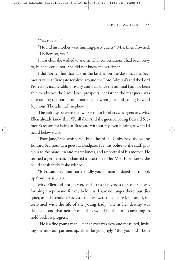"Yes, madam."

"He and his mother were hunting-party guests?" Mrs. Ellen frowned. "I believe so, yes."

It was clear she wished to ask me what conversations I had been privy to, but she could not. She did not know me yet either.

I did not tell her that talk in the kitchen on the days that the Seymours were at Bradgate revolved around the Lord Admiral's and the Lord Protector's insane sibling rivalry and that since the admiral had not been able to advance the Lady Jane's prospects, her father, the marquess, was entertaining the notion of a marriage between Jane and young Edward Seymour. The admiral's nephew.

The jealousy between the two Seymour brothers was legendary. Mrs. Ellen already knew this. We all did. And she guessed young Edward Seymour's reason for being at Bradgate without my even hinting at what I'd heard below stairs.

"Poor Jane," she whispered, but I heard it. I'd observed the young Edward Seymour as a guest at Bradgate. He was polite to the staff, gracious to the marquess and marchioness, and respectful of his mother. He seemed a gentleman. I chanced a question to let Mrs. Ellen know she could speak freely if she wished.

"Is Edward Seymour not a kindly young man?" I dared not to look up from my stitches.

Mrs. Ellen did not answer, and I raised my eyes to see if she was forming a reprimand for my boldness. I saw not anger there, but disquiet, as if she could already see that we were to be paired, she and I, intertwined with the life of the young Lady Jane as her destiny was decided—and that neither one of us would be able to do anything to hold back its progress.

"He is a fine young man." Her answer was slow and measured, inviting me into our partnership, albeit begrudgingly. "But you and I both